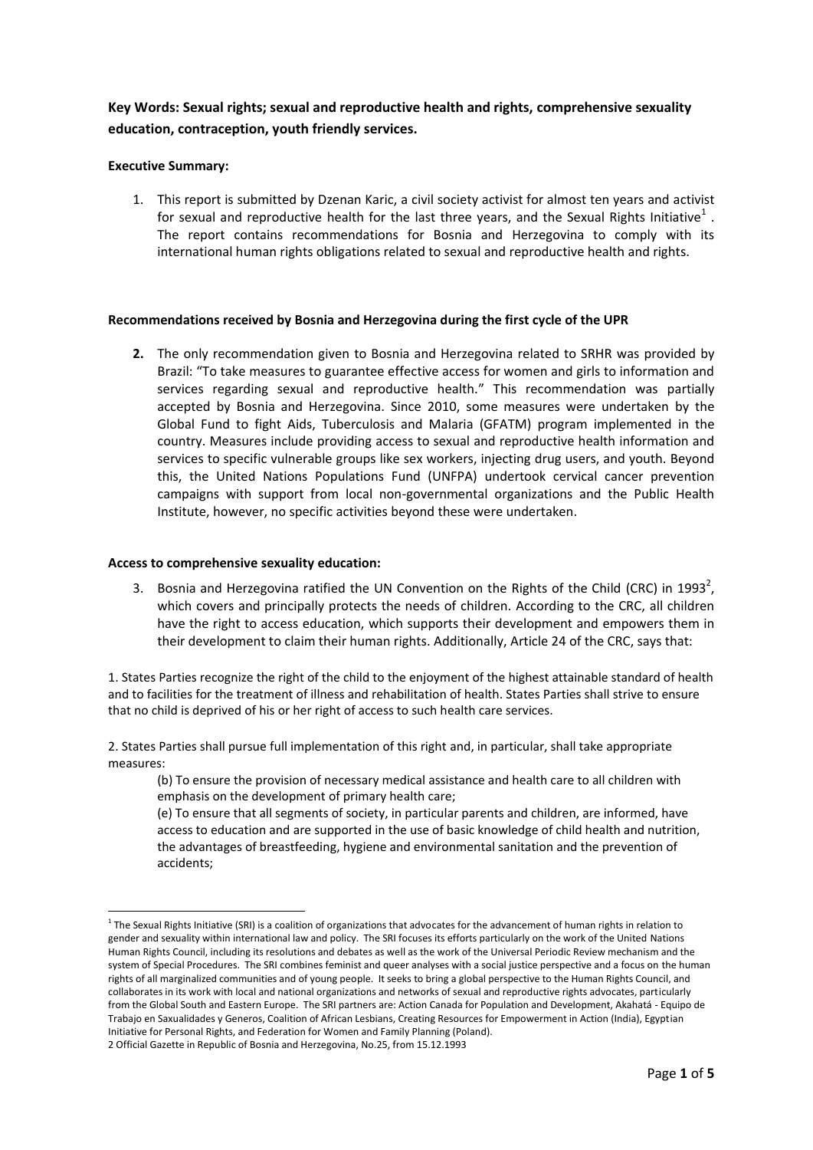# **Key Words: Sexual rights; sexual and reproductive health and rights, comprehensive sexuality education, contraception, youth friendly services.**

## **Executive Summary:**

1. This report is submitted by Dzenan Karic, a civil society activist for almost ten years and activist for sexual and reproductive health for the last three years, and the Sexual Rights Initiative $^1$  . The report contains recommendations for Bosnia and Herzegovina to comply with its international human rights obligations related to sexual and reproductive health and rights.

## **Recommendations received by Bosnia and Herzegovina during the first cycle of the UPR**

**2.** The only recommendation given to Bosnia and Herzegovina related to SRHR was provided by Brazil: "To take measures to guarantee effective access for women and girls to information and services regarding sexual and reproductive health." This recommendation was partially accepted by Bosnia and Herzegovina. Since 2010, some measures were undertaken by the Global Fund to fight Aids, Tuberculosis and Malaria (GFATM) program implemented in the country. Measures include providing access to sexual and reproductive health information and services to specific vulnerable groups like sex workers, injecting drug users, and youth. Beyond this, the United Nations Populations Fund (UNFPA) undertook cervical cancer prevention campaigns with support from local non-governmental organizations and the Public Health Institute, however, no specific activities beyond these were undertaken.

### **Access to comprehensive sexuality education:**

 $\overline{a}$ 

3. Bosnia and Herzegovina ratified the UN Convention on the Rights of the Child (CRC) in 1993<sup>2</sup>, which covers and principally protects the needs of children. According to the CRC, all children have the right to access education, which supports their development and empowers them in their development to claim their human rights. Additionally, Article 24 of the CRC, says that:

1. States Parties recognize the right of the child to the enjoyment of the highest attainable standard of health and to facilities for the treatment of illness and rehabilitation of health. States Parties shall strive to ensure that no child is deprived of his or her right of access to such health care services.

2. States Parties shall pursue full implementation of this right and, in particular, shall take appropriate measures:

(b) To ensure the provision of necessary medical assistance and health care to all children with emphasis on the development of primary health care;

(e) To ensure that all segments of society, in particular parents and children, are informed, have access to education and are supported in the use of basic knowledge of child health and nutrition, the advantages of breastfeeding, hygiene and environmental sanitation and the prevention of accidents;

 $^1$  The Sexual Rights Initiative (SRI) is a coalition of organizations that advocates for the advancement of human rights in relation to gender and sexuality within international law and policy. The SRI focuses its efforts particularly on the work of the United Nations Human Rights Council, including its resolutions and debates as well as the work of the Universal Periodic Review mechanism and the system of Special Procedures. The SRI combines feminist and queer analyses with a social justice perspective and a focus on the human rights of all marginalized communities and of young people. It seeks to bring a global perspective to the Human Rights Council, and collaborates in its work with local and national organizations and networks of sexual and reproductive rights advocates, particularly from the Global South and Eastern Europe. The SRI partners are: Action Canada for Population and Development, Akahatá - Equipo de Trabajo en Saxualidades y Generos, Coalition of African Lesbians, Creating Resources for Empowerment in Action (India), Egyptian Initiative for Personal Rights, and Federation for Women and Family Planning (Poland).

<sup>2</sup> Official Gazette in Republic of Bosnia and Herzegovina, No.25, from 15.12.1993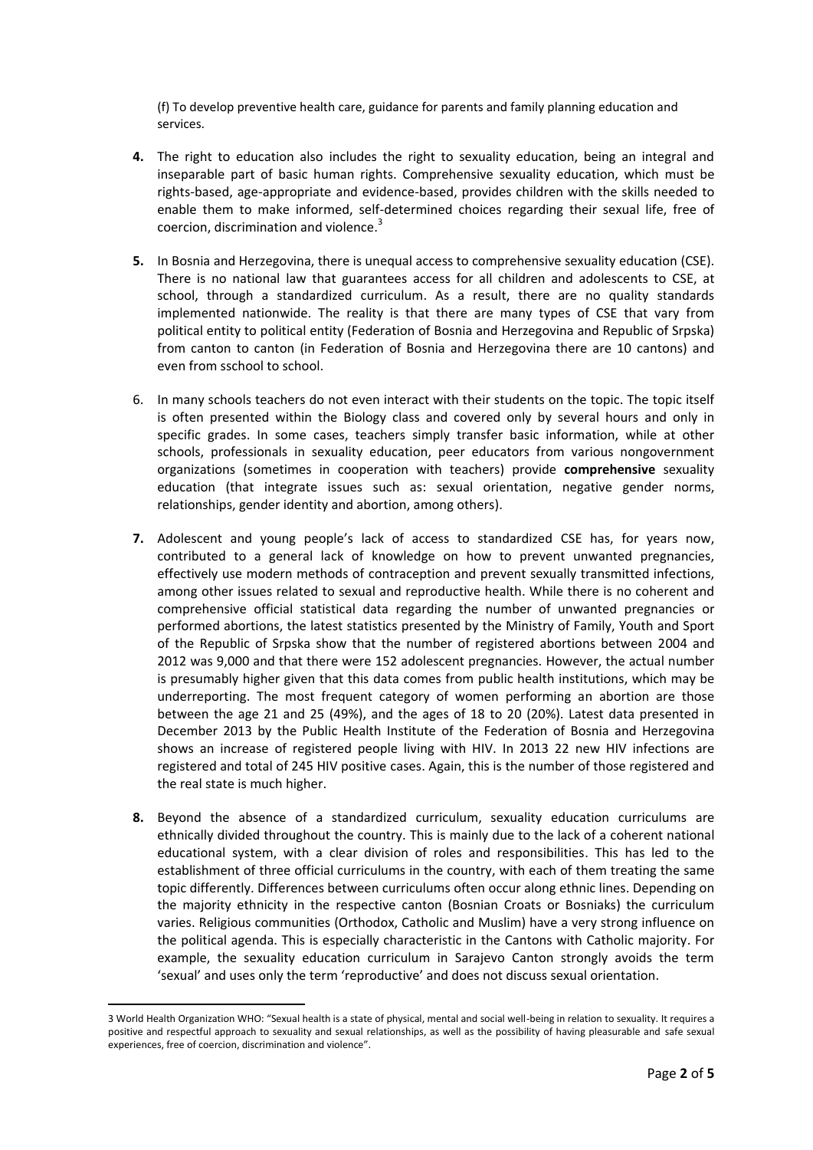(f) To develop preventive health care, guidance for parents and family planning education and services.

- **4.** The right to education also includes the right to sexuality education, being an integral and inseparable part of basic human rights. Comprehensive sexuality education, which must be rights-based, age-appropriate and evidence-based, provides children with the skills needed to enable them to make informed, self-determined choices regarding their sexual life, free of coercion, discrimination and violence.<sup>3</sup>
- **5.** In Bosnia and Herzegovina, there is unequal access to comprehensive sexuality education (CSE). There is no national law that guarantees access for all children and adolescents to CSE, at school, through a standardized curriculum. As a result, there are no quality standards implemented nationwide. The reality is that there are many types of CSE that vary from political entity to political entity (Federation of Bosnia and Herzegovina and Republic of Srpska) from canton to canton (in Federation of Bosnia and Herzegovina there are 10 cantons) and even from sschool to school.
- 6. In many schools teachers do not even interact with their students on the topic. The topic itself is often presented within the Biology class and covered only by several hours and only in specific grades. In some cases, teachers simply transfer basic information, while at other schools, professionals in sexuality education, peer educators from various nongovernment organizations (sometimes in cooperation with teachers) provide **comprehensive** sexuality education (that integrate issues such as: sexual orientation, negative gender norms, relationships, gender identity and abortion, among others).
- **7.** Adolescent and young people's lack of access to standardized CSE has, for years now, contributed to a general lack of knowledge on how to prevent unwanted pregnancies, effectively use modern methods of contraception and prevent sexually transmitted infections, among other issues related to sexual and reproductive health. While there is no coherent and comprehensive official statistical data regarding the number of unwanted pregnancies or performed abortions, the latest statistics presented by the Ministry of Family, Youth and Sport of the Republic of Srpska show that the number of registered abortions between 2004 and 2012 was 9,000 and that there were 152 adolescent pregnancies. However, the actual number is presumably higher given that this data comes from public health institutions, which may be underreporting. The most frequent category of women performing an abortion are those between the age 21 and 25 (49%), and the ages of 18 to 20 (20%). Latest data presented in December 2013 by the Public Health Institute of the Federation of Bosnia and Herzegovina shows an increase of registered people living with HIV. In 2013 22 new HIV infections are registered and total of 245 HIV positive cases. Again, this is the number of those registered and the real state is much higher.
- **8.** Beyond the absence of a standardized curriculum, sexuality education curriculums are ethnically divided throughout the country. This is mainly due to the lack of a coherent national educational system, with a clear division of roles and responsibilities. This has led to the establishment of three official curriculums in the country, with each of them treating the same topic differently. Differences between curriculums often occur along ethnic lines. Depending on the majority ethnicity in the respective canton (Bosnian Croats or Bosniaks) the curriculum varies. Religious communities (Orthodox, Catholic and Muslim) have a very strong influence on the political agenda. This is especially characteristic in the Cantons with Catholic majority. For example, the sexuality education curriculum in Sarajevo Canton strongly avoids the term 'sexual' and uses only the term 'reproductive' and does not discuss sexual orientation.

l

<sup>3</sup> World Health Organization WHO: "Sexual health is a state of physical, mental and social well-being in relation to sexuality. It requires a positive and respectful approach to sexuality and sexual relationships, as well as the possibility of having pleasurable and safe sexual experiences, free of coercion, discrimination and violence".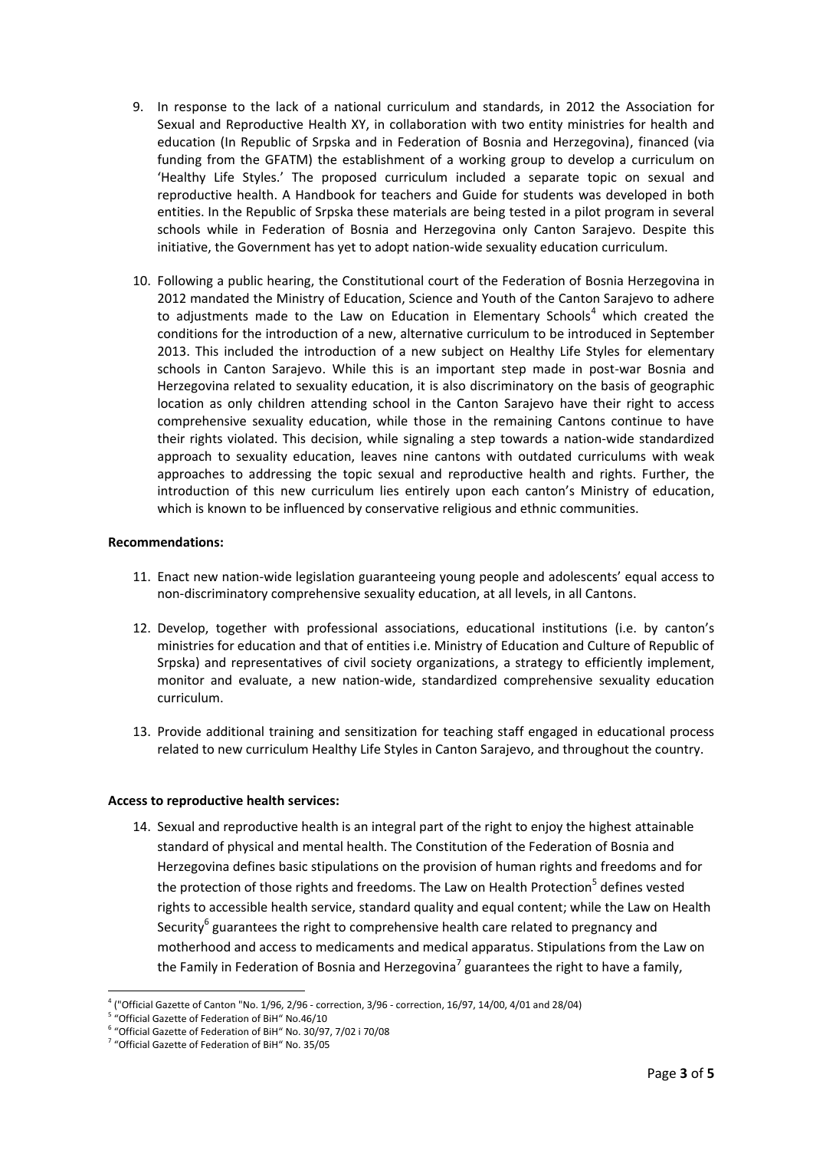- 9. In response to the lack of a national curriculum and standards, in 2012 the Association for Sexual and Reproductive Health XY, in collaboration with two entity ministries for health and education (In Republic of Srpska and in Federation of Bosnia and Herzegovina), financed (via funding from the GFATM) the establishment of a working group to develop a curriculum on 'Healthy Life Styles.' The proposed curriculum included a separate topic on sexual and reproductive health. A Handbook for teachers and Guide for students was developed in both entities. In the Republic of Srpska these materials are being tested in a pilot program in several schools while in Federation of Bosnia and Herzegovina only Canton Sarajevo. Despite this initiative, the Government has yet to adopt nation-wide sexuality education curriculum.
- 10. Following a public hearing, the Constitutional court of the Federation of Bosnia Herzegovina in 2012 mandated the Ministry of Education, Science and Youth of the Canton Sarajevo to adhere to adjustments made to the Law on Education in Elementary Schools<sup>4</sup> which created the conditions for the introduction of a new, alternative curriculum to be introduced in September 2013. This included the introduction of a new subject on Healthy Life Styles for elementary schools in Canton Sarajevo. While this is an important step made in post-war Bosnia and Herzegovina related to sexuality education, it is also discriminatory on the basis of geographic location as only children attending school in the Canton Sarajevo have their right to access comprehensive sexuality education, while those in the remaining Cantons continue to have their rights violated. This decision, while signaling a step towards a nation-wide standardized approach to sexuality education, leaves nine cantons with outdated curriculums with weak approaches to addressing the topic sexual and reproductive health and rights. Further, the introduction of this new curriculum lies entirely upon each canton's Ministry of education, which is known to be influenced by conservative religious and ethnic communities.

## **Recommendations:**

- 11. Enact new nation-wide legislation guaranteeing young people and adolescents' equal access to non-discriminatory comprehensive sexuality education, at all levels, in all Cantons.
- 12. Develop, together with professional associations, educational institutions (i.e. by canton's ministries for education and that of entities i.e. Ministry of Education and Culture of Republic of Srpska) and representatives of civil society organizations, a strategy to efficiently implement, monitor and evaluate, a new nation-wide, standardized comprehensive sexuality education curriculum.
- 13. Provide additional training and sensitization for teaching staff engaged in educational process related to new curriculum Healthy Life Styles in Canton Sarajevo, and throughout the country.

#### **Access to reproductive health services:**

14. Sexual and reproductive health is an integral part of the right to enjoy the highest attainable standard of physical and mental health. The Constitution of the Federation of Bosnia and Herzegovina defines basic stipulations on the provision of human rights and freedoms and for the protection of those rights and freedoms. The Law on Health Protection<sup>5</sup> defines vested [rights](http://eudict.com/?lang=engcro&word=vested%20rights) to accessible health service, standard quality and equal content; while the Law on Health Security $^6$  guarantees the right to comprehensive health care related to pregnancy and motherhood and access to medicaments and medical apparatus. Stipulations from the Law on the Family in Federation of Bosnia and Herzegovina<sup>7</sup> guarantees the right to have a family,

l 4 ("Official Gazette of Canton "No. 1/96, 2/96 - correction, 3/96 - correction, 16/97, 14/00, 4/01 and 28/04)

<sup>&</sup>lt;sup>5</sup> "Official Gazette of Federation of BiH" No.46/10

<sup>6</sup> "Official Gazette of Federation of BiH" No. 30/97, 7/02 i 70/08

<sup>7</sup> "Official Gazette of Federation of BiH" No. 35/05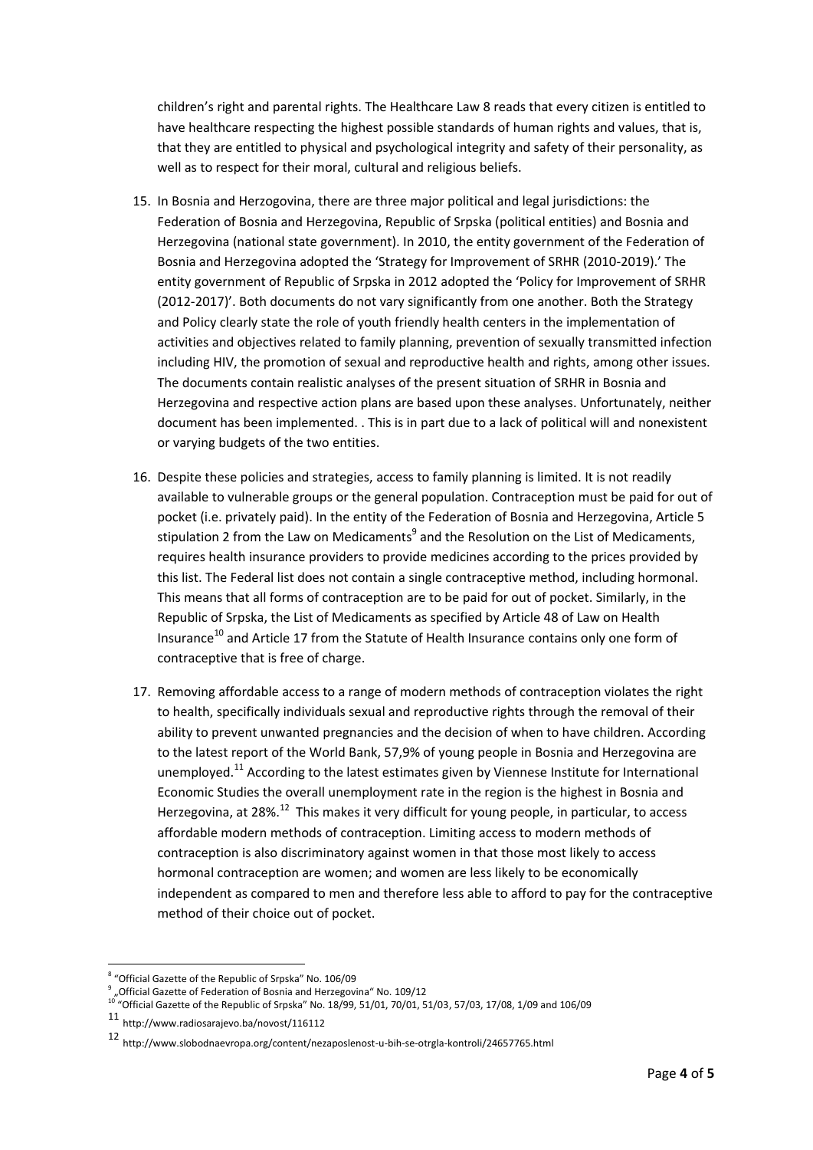children's right and parental rights. The Healthcare Law 8 reads that every citizen is entitled to have healthcare respecting the highest possible standards of human rights and values, that is, that they are entitled to physical and psychological integrity and safety of their personality, as well as to respect for their moral, cultural and religious beliefs.

- 15. In Bosnia and Herzogovina, there are three major political and legal jurisdictions: the Federation of Bosnia and Herzegovina, Republic of Srpska (political entities) and Bosnia and Herzegovina (national state government). In 2010, the entity government of the Federation of Bosnia and Herzegovina adopted the 'Strategy for Improvement of SRHR (2010-2019).' The entity government of Republic of Srpska in 2012 adopted the 'Policy for Improvement of SRHR (2012-2017)'. Both documents do not vary significantly from one another. Both the Strategy and Policy clearly state the role of youth friendly health centers in the implementation of activities and objectives related to family planning, prevention of sexually transmitted infection including HIV, the promotion of sexual and reproductive health and rights, among other issues. The documents contain realistic analyses of the present situation of SRHR in Bosnia and Herzegovina and respective action plans are based upon these analyses. Unfortunately, neither document has been implemented. . This is in part due to a lack of political will and nonexistent or varying budgets of the two entities.
- 16. Despite these policies and strategies, access to family planning is limited. It is not readily available to vulnerable groups or the general population. Contraception must be paid for out of pocket (i.e. privately paid). In the entity of the Federation of Bosnia and Herzegovina, Article 5 stipulation 2 from the Law on Medicaments<sup>9</sup> and the Resolution on the List of Medicaments, requires health insurance providers to provide medicines according to the prices provided by this list. The Federal list does not contain a single contraceptive method, including hormonal. This means that all forms of contraception are to be paid for out of pocket. Similarly, in the Republic of Srpska, the List of Medicaments as specified by Article 48 of Law on Health Insurance $10$  and Article 17 from the Statute of Health Insurance contains only one form of contraceptive that is free of charge.
- 17. Removing affordable access to a range of modern methods of contraception violates the right to health, specifically individuals sexual and reproductive rights through the removal of their ability to prevent unwanted pregnancies and the decision of when to have children. According to the latest report of the World Bank, 57,9% of young people in Bosnia and Herzegovina are unemployed.<sup>11</sup> According to the latest estimates given by Viennese Institute for International Economic Studies the overall unemployment rate in the region is the highest in Bosnia and Herzegovina, at 28%.<sup>12</sup> This makes it very difficult for young people, in particular, to access affordable modern methods of contraception. Limiting access to modern methods of contraception is also discriminatory against women in that those most likely to access hormonal contraception are women; and women are less likely to be economically independent as compared to men and therefore less able to afford to pay for the contraceptive method of their choice out of pocket.

 $\overline{a}$ 

<sup>8</sup> "Official Gazette of the Republic of Srpska" No. 106/09

 $^9$  "Official Gazette of Federation of Bosnia and Herzegovina" No. 109/12

 $10^{10}$  "Official Gazette of the Republic of Srpska" No. 18/99, 51/01, 70/01, 51/03, 57/03, 17/08, 1/09 and 106/09

<sup>11</sup> http://www.radiosarajevo.ba/novost/116112

<sup>12</sup> http://www.slobodnaevropa.org/content/nezaposlenost-u-bih-se-otrgla-kontroli/24657765.html